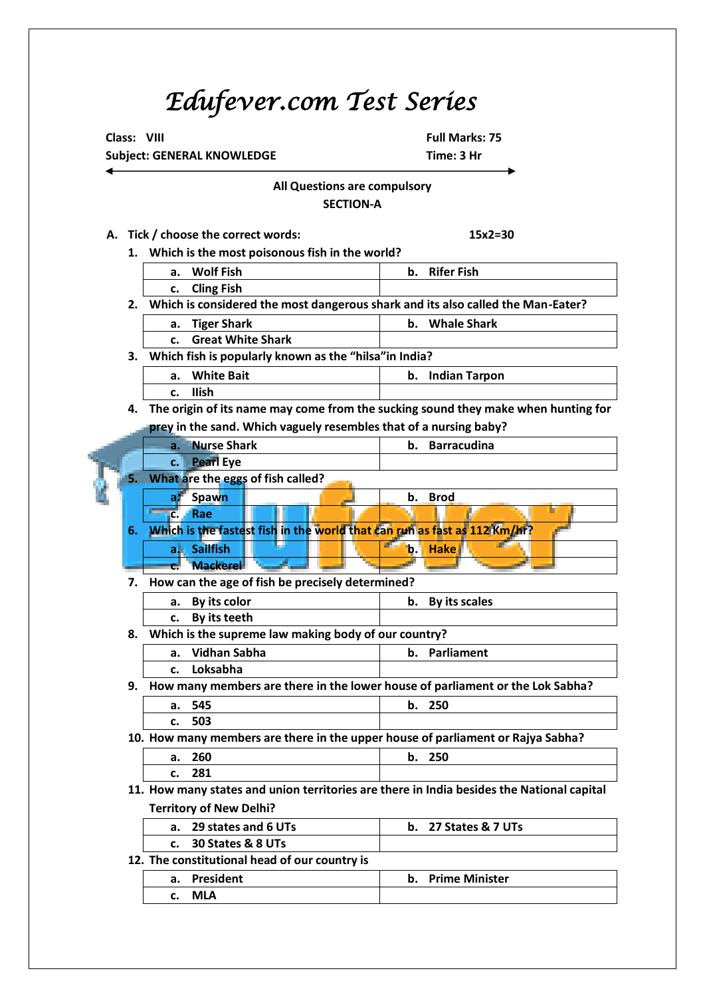# *Edufever.com Test Series*

 **Class: VIII Full Marks: 75 Subject: GENERAL KNOWLEDGE THE SUBJECT CONSUMPTER TIME: 3 Hr** 

## **All Questions are compulsory SECTION-A**

**A. Tick / choose the correct words: 15x2=30**

| 1. | Which is the most poisonous fish in the world?                                    |  |  |  |  |  |  |  |
|----|-----------------------------------------------------------------------------------|--|--|--|--|--|--|--|
|    | <b>Wolf Fish</b><br><b>Rifer Fish</b><br>b.<br>a.                                 |  |  |  |  |  |  |  |
|    | <b>Cling Fish</b><br>c.                                                           |  |  |  |  |  |  |  |
| 2. | Which is considered the most dangerous shark and its also called the Man-Eater?   |  |  |  |  |  |  |  |
|    | <b>Whale Shark</b><br><b>Tiger Shark</b><br>b.<br>a.                              |  |  |  |  |  |  |  |
|    | <b>Great White Shark</b><br>$\mathbf{c}$ .                                        |  |  |  |  |  |  |  |
| 3. | Which fish is popularly known as the "hilsa" in India?                            |  |  |  |  |  |  |  |
|    | <b>White Bait</b><br><b>Indian Tarpon</b><br>b.<br>a.                             |  |  |  |  |  |  |  |
|    | <b>Ilish</b><br>c.                                                                |  |  |  |  |  |  |  |
| 4. | The origin of its name may come from the sucking sound they make when hunting for |  |  |  |  |  |  |  |
|    | prey in the sand. Which vaguely resembles that of a nursing baby?                 |  |  |  |  |  |  |  |
|    | <b>Nurse Shark</b><br><b>Barracudina</b><br>b.<br>a.                              |  |  |  |  |  |  |  |
|    | <b>Pearl Eye</b><br>$\mathbf{C}$ .                                                |  |  |  |  |  |  |  |
| 5. | What are the eggs of fish called?                                                 |  |  |  |  |  |  |  |
|    | <b>Spawn</b><br><b>Brod</b><br>b.<br>a.                                           |  |  |  |  |  |  |  |
|    | Rae<br>$c_{\cdot}$                                                                |  |  |  |  |  |  |  |
| 6. | Which is the fastest fish in the world that can run as fast as 112 Km/hr?         |  |  |  |  |  |  |  |
|    | <b>Sailfish</b><br><b>Hake</b><br>ali.<br>b.                                      |  |  |  |  |  |  |  |
|    | <b>Mackerel</b>                                                                   |  |  |  |  |  |  |  |
| 7. | How can the age of fish be precisely determined?                                  |  |  |  |  |  |  |  |
|    | <b>B Marshall</b>                                                                 |  |  |  |  |  |  |  |

| a. By its color | b. By its scales |
|-----------------|------------------|
| c. By its teeth |                  |

**8. Which is the supreme law making body of our country?**

| а.            | Vidhan Sabha |     |   |  |  | b. Parliament |  |   |  |  |
|---------------|--------------|-----|---|--|--|---------------|--|---|--|--|
| c.            | Loksabha     |     |   |  |  |               |  |   |  |  |
| $\sim$ $\sim$ |              | . . | . |  |  | . .           |  | . |  |  |

**9. How many members are there in the lower house of parliament or the Lok Sabha? a. 545 b. 250**

|  | ---          | <br>--- |
|--|--------------|---------|
|  | $-00$<br>503 |         |

**10. How many members are there in the upper house of parliament or Rajya Sabha?**

| a. | 250<br>ZUU |      |     |     | IJ.    | 250 |   |  |    |      |  |
|----|------------|------|-----|-----|--------|-----|---|--|----|------|--|
| ັ. | 201<br>ᅩ∪ㅗ |      |     |     |        |     |   |  |    |      |  |
|    |            | ____ | ___ | ___ | $\sim$ |     | . |  | __ | ____ |  |

**11. How many states and union territories are there in India besides the National capital Territory of New Delhi?**

| a. 29 states and 6 UTs | b. $27$ States & $7$ UTs |
|------------------------|--------------------------|
| 30 States & 8 UTs      |                          |

**12. The constitutional head of our country is** 

| President<br>a. | b. Prime Minister |
|-----------------|-------------------|
| MI A            |                   |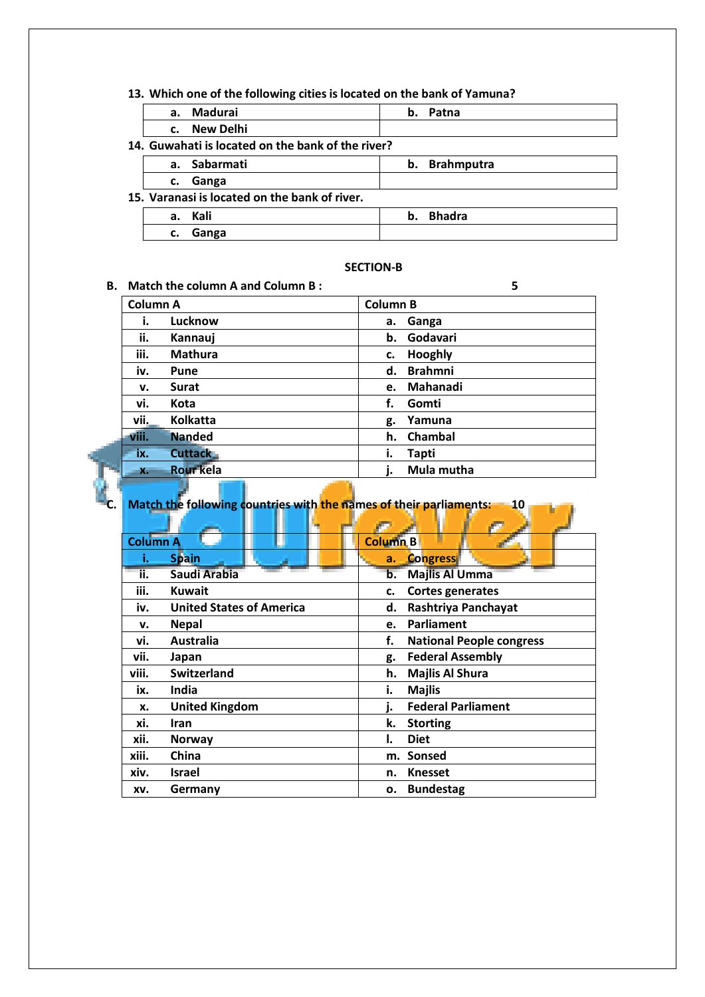#### **13. Which one of the following cities is located on the bank of Yamuna?**

|    | a. Madurai                                        | b. | Patna             |
|----|---------------------------------------------------|----|-------------------|
|    | c. New Delhi                                      |    |                   |
|    | 14. Guwahati is located on the bank of the river? |    |                   |
|    | a. Sabarmati                                      | b. | <b>Brahmputra</b> |
| c. | Ganga                                             |    |                   |
|    | 15. Varanasi is located on the bank of river.     |    |                   |
| a. | Kali                                              | b. | <b>Bhadra</b>     |
| c. | Ganga                                             |    |                   |

### **SECTION-B**

| В. |                 | Match the column A and Column B: | 5                    |  |
|----|-----------------|----------------------------------|----------------------|--|
|    | <b>Column A</b> |                                  | <b>Column B</b>      |  |
|    | i.              | Lucknow                          | Ganga<br>а.          |  |
|    | ii.             | Kannauj                          | Godavari<br>b.       |  |
|    | iii.            | <b>Mathura</b>                   | Hooghly<br>c.        |  |
|    | iv.             | Pune                             | <b>Brahmni</b><br>d. |  |
|    | v.              | <b>Surat</b>                     | Mahanadi<br>e.       |  |
|    | vi.             | Kota                             | f.<br>Gomti          |  |
|    | vii.            | <b>Kolkatta</b>                  | Yamuna<br>g.         |  |
|    | viii.           | <b>Nanded</b>                    | Chambal<br>h.        |  |
|    | ix.             | <b>Cuttack</b>                   | <b>Tapti</b><br>i.   |  |
|    | $X -$           | <b>Rour</b> kela                 | Mula mutha           |  |

**C. Match the following countries with the names of their parliaments: 10**

|                 | Ŧ                               |                                       |
|-----------------|---------------------------------|---------------------------------------|
| <b>Column A</b> |                                 | <b>Column B</b>                       |
| ۱.              | <b>Spain</b>                    | <b>Congress</b><br>a.                 |
| ii.             | Saudi Arabia                    | <b>Majlis Al Umma</b><br>b.           |
| iii.            | <b>Kuwait</b>                   | <b>Cortes generates</b><br>c.         |
| iv.             | <b>United States of America</b> | Rashtriya Panchayat<br>d.             |
| v.              | <b>Nepal</b>                    | Parliament<br>e.                      |
| vi.             | <b>Australia</b>                | f.<br><b>National People congress</b> |
| vii.            | Japan                           | <b>Federal Assembly</b><br>g.         |
| viii.           | <b>Switzerland</b>              | <b>Majlis Al Shura</b><br>h.          |
| ix.             | India                           | i.<br><b>Majlis</b>                   |
| x.              | <b>United Kingdom</b>           | <b>Federal Parliament</b><br>i.       |
| xi.             | <b>Iran</b>                     | k.<br><b>Storting</b>                 |
| xii.            | <b>Norway</b>                   | <b>Diet</b><br>ı.                     |
| xiii.           | China                           | <b>Sonsed</b><br>m.                   |
| xiv.            | Israel                          | <b>Knesset</b><br>n.                  |
| XV.             | Germany                         | <b>Bundestag</b><br>ο.                |